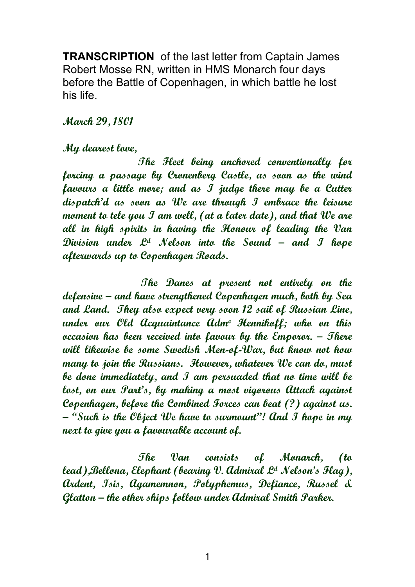**TRANSCRIPTION** of the last letter from Captain James Robert Mosse RN, written in HMS Monarch four days before the Battle of Copenhagen, in which battle he lost his life.

## **March 29, 1801**

## **My dearest love,**

 **The Fleet being anchored conventionally for forcing a passage by Cronenberg Castle, as soon as the wind favours a little more; and as I judge there may be a Cutter dispatch'd as soon as We are through I embrace the leisure moment to tele you I am well, (at a later date), and that We are all in high spirits in having the Honour of leading the Van Division under Ld Nelson into the Sound – and I hope afterwards up to Copenhagen Roads.** 

 **The Danes at present not entirely on the defensive – and have strengthened Copenhagen much, both by Sea and Land. They also expect very soon 12 sail of Russian Line, under our Old Acquaintance Adme Hennikoff; who on this occasion has been received into favour by the Emporor. – There will likewise be some Swedish Men-of-War, but know not how many to join the Russians. However, whatever We can do, must be done immediately, and I am persuaded that no time will be lost, on our Part's, by making a most vigorous Attack against Copenhagen, before the Combined Forces can beat (?) against us. – "Such is the Object We have to surmount"! And I hope in my next to give you a favourable account of.** 

**The Van consists of Monarch, (to lead),Bellona, Elephant (bearing V. Admiral Ld Nelson's Flag), Ardent, Isis, Agamemnon, Polyphemus, Defiance, Russel & Glatton – the other ships follow under Admiral Smith Parker.**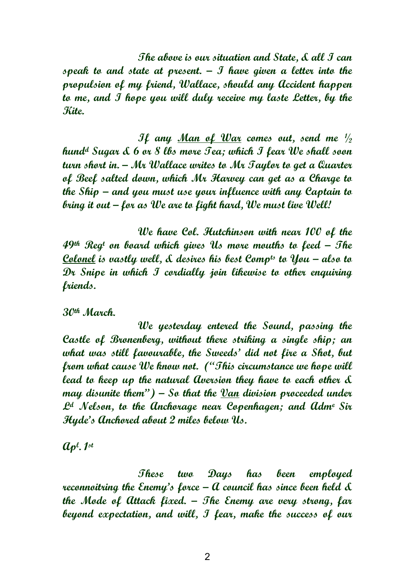**The above is our situation and State, & all I can speak to and state at present. – I have given a letter into the propulsion of my friend, Wallace, should any Accident happen to me, and I hope you will duly receive my laste Letter, by the Kite.** 

**If any Man of War comes out, send me ½ hundd Sugar & 6 or 8 lbs more Tea; which I fear We shall soon turn short in. – Mr Wallace writes to Mr Taylor to get a Quarter of Beef salted down, which Mr Harvey can get as a Charge to the Ship – and you must use your influence with any Captain to bring it out – for as We are to fight hard, We must live Well!** 

**We have Col. Hutchinson with near 100 of the 49th Reg<sup>t</sup> on board which gives Us more mouths to feed – The Colonel is vastly well, & desires his best Compts to You – also to Dr Snipe in which I cordially join likewise to other enquiring friends.** 

**30th March.** 

 **We yesterday entered the Sound, passing the Castle of Bronenberg, without there striking a single ship; an what was still favourable, the Sweeds' did not fire a Shot, but from what cause We know not. ("This circumstance we hope will lead to keep up the natural Aversion they have to each other & may disunite them") – So that the Van division proceeded under Ld Nelson, to the Anchorage near Copenhagen; and Adme Sir Hyde's Anchored about 2 miles below Us.** 

**Ap<sup>l</sup> . 1st**

 **These two Days has been employed reconnoitring the Enemy's force – A council has since been held & the Mode of Attack fixed. – The Enemy are very strong, far beyond expectation, and will, I fear, make the success of our**